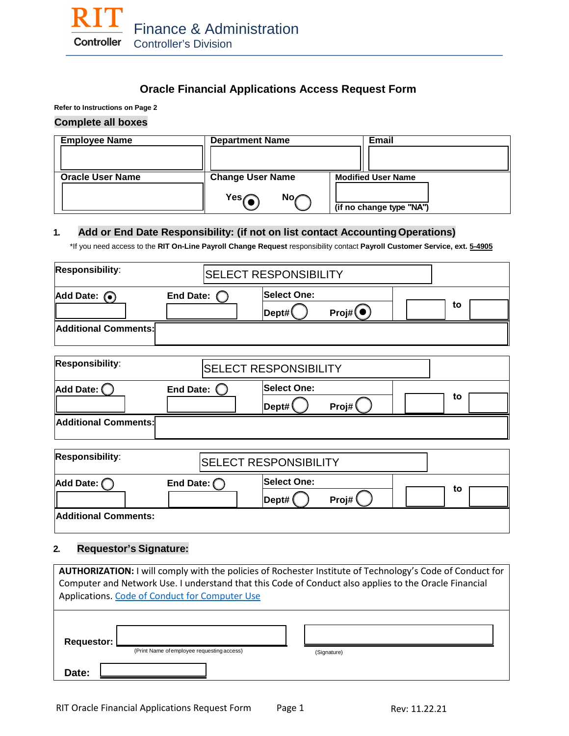

# **Oracle Financial Applications Access Request Form**

**Refer to Instructions on Page 2**

### **Complete all boxes**

| <b>Employee Name</b>    | <b>Department Name</b>  |           |                           | Email                    |
|-------------------------|-------------------------|-----------|---------------------------|--------------------------|
|                         |                         |           |                           |                          |
| <b>Oracle User Name</b> | <b>Change User Name</b> |           | <b>Modified User Name</b> |                          |
|                         | Yes $\curvearrowleft$   | No $\ell$ |                           | (if no change type "NA") |

## **1. Add or End Date Responsibility: (if not on list contact AccountingOperations)**

\*If you need access to the **RIT On-Line Payroll Change Request** responsibility contact **Payroll Customer Service, ext. 5-4905**

| Responsibility:             |                     | <b>SELECT RESPONSIBILITY</b>              |    |
|-----------------------------|---------------------|-------------------------------------------|----|
| Add Date: $\odot$           | <b>End Date:</b>    | <b>Select One:</b><br>Proj#(•)<br> Dept#( | to |
| Additional Comments:        |                     |                                           |    |
| Responsibility:             |                     | <b>SELECT RESPONSIBILITY</b>              |    |
| Add Date: $\bigcirc$        | <b>End Date:</b>    | <b>Select One:</b><br>Proj#<br>Dept#(     | to |
| Additional Comments:        |                     |                                           |    |
| Responsibility:             |                     | <b>SELECT RESPONSIBILITY</b>              |    |
| Add Date: C                 | End Date: $\bigcap$ | <b>Select One:</b><br>Proj#<br>Dept#      | to |
| <b>Additional Comments:</b> |                     |                                           |    |

# **2. Requestor's Signature:**

| <b>AUTHORIZATION:</b> I will comply with the policies of Rochester Institute of Technology's Code of Conduct for<br>Computer and Network Use. I understand that this Code of Conduct also applies to the Oracle Financial<br>Applications. Code of Conduct for Computer Use |                                            |  |             |  |
|-----------------------------------------------------------------------------------------------------------------------------------------------------------------------------------------------------------------------------------------------------------------------------|--------------------------------------------|--|-------------|--|
| Requestor:                                                                                                                                                                                                                                                                  | (Print Name of employee requesting access) |  | (Signature) |  |
| Date:                                                                                                                                                                                                                                                                       |                                            |  |             |  |